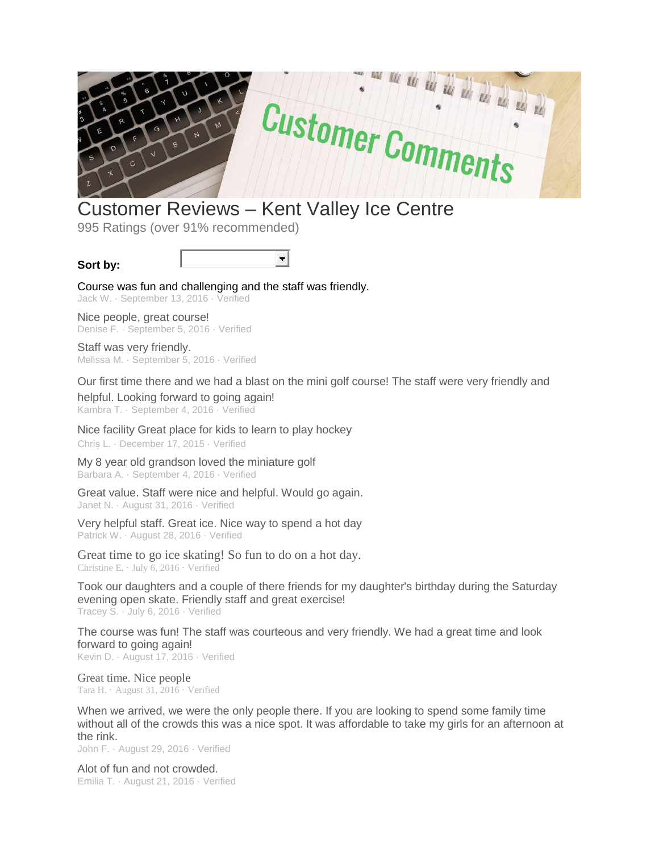

## Customer Reviews – Kent Valley Ice Centre

995 Ratings (over 91% recommended)

## **Sort by:**



Course was fun and challenging and the staff was friendly. Jack W. · September 13, 2016 · Verified

Nice people, great course! Denise F. · September 5, 2016 · Verified

Staff was very friendly. Melissa M. · September 5, 2016 · Verified

Our first time there and we had a blast on the mini golf course! The staff were very friendly and

helpful. Looking forward to going again! Kambra T. · September 4, 2016 · Verified

Nice facility Great place for kids to learn to play hockey Chris L. · December 17, 2015 · Verified

My 8 year old grandson loved the miniature golf Barbara A. · September 4, 2016 · Verified

Great value. Staff were nice and helpful. Would go again. Janet N. · August 31, 2016 · Verified

Very helpful staff. Great ice. Nice way to spend a hot day Patrick W. · August 28, 2016 · Verified

Great time to go ice skating! So fun to do on a hot day. Christine E. · July 6, 2016 · Verified

Took our daughters and a couple of there friends for my daughter's birthday during the Saturday evening open skate. Friendly staff and great exercise! Tracey S. · July 6, 2016 · Verified

The course was fun! The staff was courteous and very friendly. We had a great time and look forward to going again! Kevin D. · August 17, 2016 · Verified

Great time. Nice people Tara H. · August 31, 2016 · Verified

When we arrived, we were the only people there. If you are looking to spend some family time without all of the crowds this was a nice spot. It was affordable to take my girls for an afternoon at the rink.

John F. · August 29, 2016 · Verified

Alot of fun and not crowded. Emilia T. · August 21, 2016 · Verified